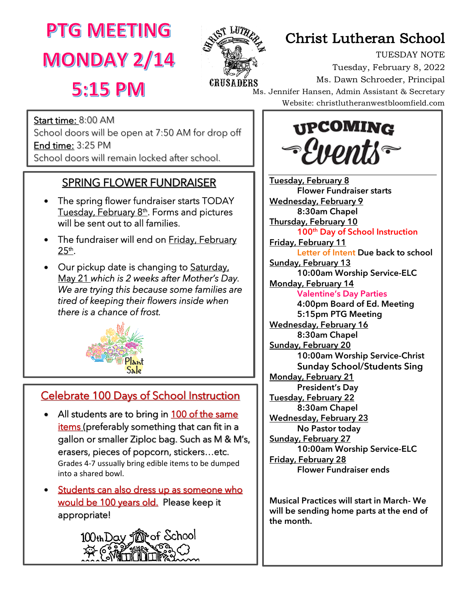**MONDAY 2/14** 



# **PTG MEETING** Assembly Christ Lutheran School

TUESDAY NOTE Tuesday, February 8, 2022 Ms. Dawn Schroeder, Principal Ms. Jennifer Hansen, Admin Assistant & Secretary Website: christlutheranwestbloomfield.com

**5:15 PM** 

ī

ׇ֞֘֝֡

Start time: 8:00 AM School doors will be open at 7:50 AM for drop off End time: 3:25 PM School doors will remain locked after school.

### SPRING FLOWER FUNDRAISER

- The spring flower fundraiser starts TODAY Tuesday, February 8<sup>th</sup>. Forms and pictures will be sent out to all families.
- The fundraiser will end on Friday, February 25th.
- Our pickup date is changing to Saturday, May 21 *which is 2 weeks after Mother's Day. We are trying this because some families are tired of keeping their flowers inside when there is a chance of frost.*



## Celebrate 100 Days of School Instruction

- All students are to bring in 100 of the same items (preferably something that can fit in a gallon or smaller Ziploc bag. Such as M & M's, erasers, pieces of popcorn, stickers…etc. Grades 4-7 ussually bring edible items to be dumped into a shared bowl.
- Students can also dress up as someone who would be 100 years old. Please keep it appropriate!





Tuesday, February 8 Flower Fundraiser starts Wednesday, February 9 8:30am Chapel **Thursday, February 10** 100th Day of School Instruction **Friday, February 11** Letter of Intent Due back to school **Sunday, February 13** 10:00am Worship Service-ELC **Monday, February 14** Valentine's Day Parties 4:00pm Board of Ed. Meeting 5:15pm PTG Meeting Wednesday, February 16 8:30am Chapel **Sunday, February 20** 10:00am Worship Service-Christ **Sunday School/Students Sing Monday, February 21** President's Day Tuesday, February 22 8:30am Chapel Wednesday, February 23 No Pastor today **Sunday, February 27** 10:00am Worship Service-ELC Friday, February 28 Flower Fundraiser ends

Musical Practices will start in March- We will be sending home parts at the end of the month.